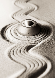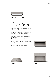

### Applique protruding glass

## **Concrete**

Concrete is the leading architectural material of the last century because it redefined the standards of architectural design through the work of the late "Maestros". Rigorous and poetic, solid and raw, concrete is an essential element for the exterior. It is a living material that ages, transforms and evolves absorbing the surrounding colors, blending, integrating and interacting with the architecture in terms of form and function.

The contrast between the untouchable lighting effects and the pure strength of the solid concrete structures, designed in simple forms, create a strong emotional impact. The aluminium takes on the more structural part whilst the concrete a more protective aesthetical function leaving the emotional role to the lighting effect.







Up-light



Bollard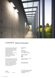

### CONCRETE Applique protruding glass

Concrete covering with added synthetic fibres with high mechanical strength. Die-cast EN AB-47100 aluminium housing with high corrosion resistance. Toughened glass diffuser. Stainless steel screws. Luminaire with one single cable entry and grommet (Applique). Pre-wired luminaire with 1m of neoprene cable (Mini Applique). Silicone gaskets.

*This luminaire has been manufactured with hand crafted procedures, therefore small imperfections, subsidence of the concrete surface, actual cracks and future, colour ripples and variations over time, are deliberately present and they are a feature of the concrete luminaire, proving the hand-made manufacturing procedure.* 

Protection class IP65

Isolation class CLASS I (.) (Applique)  $CLASS II$  (Mini Applique)

Mechanical resistance IK 06<br>《《《

Leds 4000K CRI90 versions are available on request.

#### REGISTERED DESIGN

Finishing:

Concrete (cod. 35)

*For the latest technical information and luminaire updates with LED technology please refer to www.simes.it*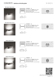### CONCRETE Applique protruding glass

SIMES

#### Mini Applique Single emission





240 6 52

90

П

### C.8015W.35

MID-POWER LEDs 3000K CRI90 1090lm Rated luminaire luminous flux 475lm Rated input power 12,5W 220V-240V AC 50/60Hz / DC Not Dimmable

|  |        |  |  |   |   | lux |                |
|--|--------|--|--|---|---|-----|----------------|
|  |        |  |  |   |   |     |                |
|  |        |  |  |   |   |     | $\Omega$       |
|  |        |  |  |   |   |     |                |
|  |        |  |  |   |   |     | $\overline{2}$ |
|  | h<br>۹ |  |  | 2 | ٩ |     |                |







240 6 6 52

 $\Box$ 

### C.8016W.35 **同**

MID-POWER LEDs 3000K CRI90 1090lm Rated luminaire luminous flux 389lm Rated input power 12,5W 220V-240V AC 50/60Hz / DC Not Dimmable

|  |   |   |  |  |        | lux | 2 |
|--|---|---|--|--|--------|-----|---|
|  |   |   |  |  |        |     |   |
|  |   |   |  |  |        |     |   |
|  |   |   |  |  |        |     | O |
|  |   |   |  |  |        |     |   |
|  |   |   |  |  |        |     |   |
|  |   |   |  |  |        |     |   |
|  | ۰ | c |  |  | c<br>٠ |     |   |

#### Applique Single emission





#### C.8005W.35

MID-POWER LEDs 3000K CRI90 1860lm Rated luminaire luminous flux 888lm Rated input power 19W 220V-240V AC 50/60Hz / DC Not Dimmable

|  |  |  |  | lux |                |
|--|--|--|--|-----|----------------|
|  |  |  |  |     |                |
|  |  |  |  |     | 0              |
|  |  |  |  |     |                |
|  |  |  |  |     | $\overline{2}$ |
|  |  |  |  |     |                |

#### Applique Double emission





310 8 63 8

115

### C.8006W.35

MID-POWER LEDs 3000K CRI90 1860lm Rated luminaire luminous flux 723lm Rated input power 19W 220V-240V AC 50/60Hz / DC Not Dimmable





www.simes.it/concrete-applique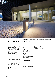

Wood Beton, Iseo, Italy - Studio Archiabita (Arch. Luciano Ragni, Arch. Romina Girolama Turra) © ph. Mario Bertani

### CONCRETE Wall recesed and Bollard

Concrete covering with added synthetic fibres with high mechanical strength. Lighting fixture in die-cast EN AB-47100 aluminium housing with high corrosion resistance. Clear Polycarbonate diffuser. Stainless steel screws. Pre-wired luminaire with 3m of neoprene cable (WALL). Pre-wired luminaire with neoprene cable and connector in the bollard. Silicone gaskets.

*This luminaire has been manufactured with hand crafted procedures, therefore small imperfections, subsidence of the surface, actual cracks and future, colour ripples and variations over time, are deliberately present and they are a feature of the luminaire, proving the hand-made manufacturing procedure.* 

#### Finishing:

Concrete (cod. 35)

Protection class IP65

### Isolation class

CLASS  $I \nsubseteq WALL$ CLASS  $II$  **D** BOLLARD

Mechanical resistance IK 10

Leds 4000K CRI90 versions are available on request.

### REGISTERED DESIGN

*For the latest technical information and luminaire updates with LED technology please refer to www.simes.it* 



S.5506

4 way connector for through wiring (in/out).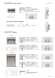### CONCRETE Wall recessed

### SIMES





280

 $\mathbf 0$ 回

 $\Rightarrow$ 

140

Accessory for surface installation



### MID-POWER LEDs 3000K CRI80 880lm Rated luminaire luminous flux 301lm Rated input power 10W 220V-230V AC 50/60Hz Phase-cut dimmable  $C.8050W.35$



Fixing base for surface applications

C.8054



## CONCRETE Bollard

Concrete Wall, through the use of the fixing base, becomes a surface fitting.

H 250 mm







### $C.8100W.35 \quad \boxed{\equiv}$  Single emission

MID-POWER LEDs 3000K CRI90 1090lm Rated luminaire luminous flux 361lm Rated input power 13,5W 220V-240V AC 50/60Hz / DC Not Dimmable

MID-POWER LEDs 3000K CRI90 2180lm Rated luminaire luminous flux 803lm

 $C.8101W.35$   $\Box$  Double emission

220V-240V AC 50/60Hz / DC Not Dimmable

Rated input power 25W

# lux









### $C.8105W.35$   $\Box$  Single emission

MID-POWER LEDs 3000K CRI90 1090lm Rated luminaire luminous flux 399lm Rated input power 13,5W 220V-240V AC 50/60Hz / DC Not Dimmable

MID-POWER LEDs 3000K CRI90 2180lm Rated luminaire luminous flux 883lm

 $C.8106W.35$   $\Box$  Double emission

220V-240V AC 50/60Hz / DC Not Dimmable

Rated input power 25W



|   |   |   |  |   |   | lux |   |
|---|---|---|--|---|---|-----|---|
|   |   |   |  |   |   |     | 3 |
|   |   |   |  |   |   |     | 2 |
|   |   |   |  |   |   |     |   |
|   |   |   |  |   |   |     |   |
| л | n | ◠ |  | っ | 3 |     |   |



450





### S.6359

FLANGE FOR CONCRETE BOLLARD To be fixed in concrete.



|     |                |     |     |    |     |                       | $\sqrt{2}$ |
|-----|----------------|-----|-----|----|-----|-----------------------|------------|
|     |                |     |     |    |     |                       | Ŀ,         |
|     |                |     |     |    |     |                       |            |
|     |                |     |     | ٦Λ |     |                       |            |
|     |                |     |     |    |     |                       | 0.5        |
| 2.5 | $\overline{2}$ | 1.5 | 0.5 | 0  | 0.5 | 1.5<br>$\overline{2}$ | (m         |
|     |                |     |     |    |     |                       |            |
|     |                |     |     |    |     |                       |            |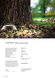

### CONCRETE Surface mounted up-light

Concrete covering with added synthetic fibres with high mechanical strength. Die cast EN AB-47100 aluminium housing with high corrosion resistance. Reflector in polymers covered with 99.98% pure aluminium. Toughened glass diffuser. Stainless steel screws. Pre-wired luminaire with 5m of neoprene cable. Silicone gaskets. Supplied with ground fixing base.

*This luminaire has been manufactured with hand crafted procedures, therefore small imperfections, subsidence of the concrete surface, actual cracks and future, colour ripples and variations over time, are deliberately present and they are a feature of the concrete luminaire, proving the handmade manufacturing procedure.* 

### Finishing:

Concrete (cod. 35)

Protection class IP67

Isolation class  $CLASS I @$ 

### Mechanical resistance IK 08

 $\mathscr{K}_{\mathbf{0}}$ 

Leds 4000K CRI90 versions are available on request.

### REGISTERED DESIGN

*For the latest technical information and luminaire updates with LED technology please refer to www.simes.it*